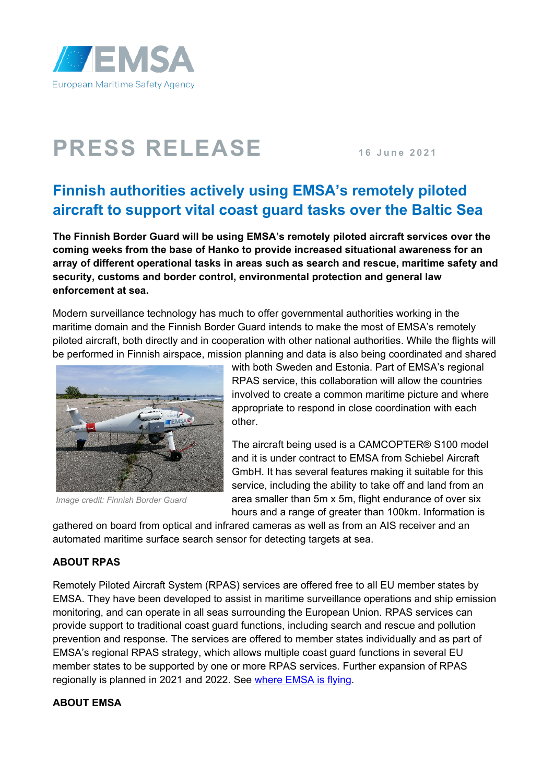

## **PRESS RELEASE 16 June 2021**

## **Finnish authorities actively using EMSA's remotely piloted aircraft to support vital coast guard tasks over the Baltic Sea**

**The Finnish Border Guard will be using EMSA's remotely piloted aircraft services over the coming weeks from the base of Hanko to provide increased situational awareness for an array of different operational tasks in areas such as search and rescue, maritime safety and security, customs and border control, environmental protection and general law enforcement at sea.**

Modern surveillance technology has much to offer governmental authorities working in the maritime domain and the Finnish Border Guard intends to make the most of EMSA's remotely piloted aircraft, both directly and in cooperation with other national authorities. While the flights will be performed in Finnish airspace, mission planning and data is also being coordinated and shared



*Image credit: Finnish Border Guard*

with both Sweden and Estonia. Part of EMSA's regional RPAS service, this collaboration will allow the countries involved to create a common maritime picture and where appropriate to respond in close coordination with each other.

The aircraft being used is a CAMCOPTER® S100 model and it is under contract to EMSA from Schiebel Aircraft GmbH. It has several features making it suitable for this service, including the ability to take off and land from an area smaller than 5m x 5m, flight endurance of over six hours and a range of greater than 100km. Information is

gathered on board from optical and infrared cameras as well as from an AIS receiver and an automated maritime surface search sensor for detecting targets at sea.

## **ABOUT RPAS**

Remotely Piloted Aircraft System (RPAS) services are offered free to all EU member states by EMSA. They have been developed to assist in maritime surveillance operations and ship emission monitoring, and can operate in all seas surrounding the European Union. RPAS services can provide support to traditional coast guard functions, including search and rescue and pollution prevention and response. The services are offered to member states individually and as part of EMSA's regional RPAS strategy, which allows multiple coast guard functions in several EU member states to be supported by one or more RPAS services. Further expansion of RPAS regionally is planned in 2021 and 2022. See [where EMSA is flying.](http://www.emsa.europa.eu/rpas-operations.html)

## **ABOUT EMSA**